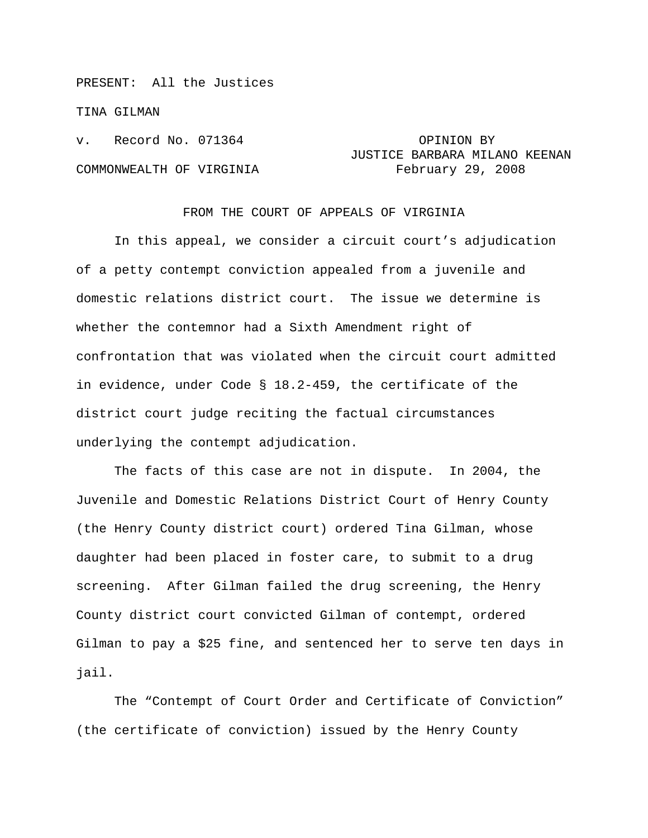PRESENT: All the Justices

TINA GILMAN

v. Record No. 071364 **OPINION BY** 

## JUSTICE BARBARA MILANO KEENAN COMMONWEALTH OF VIRGINIA February 29, 2008

## FROM THE COURT OF APPEALS OF VIRGINIA

In this appeal, we consider a circuit court's adjudication of a petty contempt conviction appealed from a juvenile and domestic relations district court. The issue we determine is whether the contemnor had a Sixth Amendment right of confrontation that was violated when the circuit court admitted in evidence, under Code § 18.2-459, the certificate of the district court judge reciting the factual circumstances underlying the contempt adjudication.

 The facts of this case are not in dispute. In 2004, the Juvenile and Domestic Relations District Court of Henry County (the Henry County district court) ordered Tina Gilman, whose daughter had been placed in foster care, to submit to a drug screening. After Gilman failed the drug screening, the Henry County district court convicted Gilman of contempt, ordered Gilman to pay a \$25 fine, and sentenced her to serve ten days in jail.

The "Contempt of Court Order and Certificate of Conviction" (the certificate of conviction) issued by the Henry County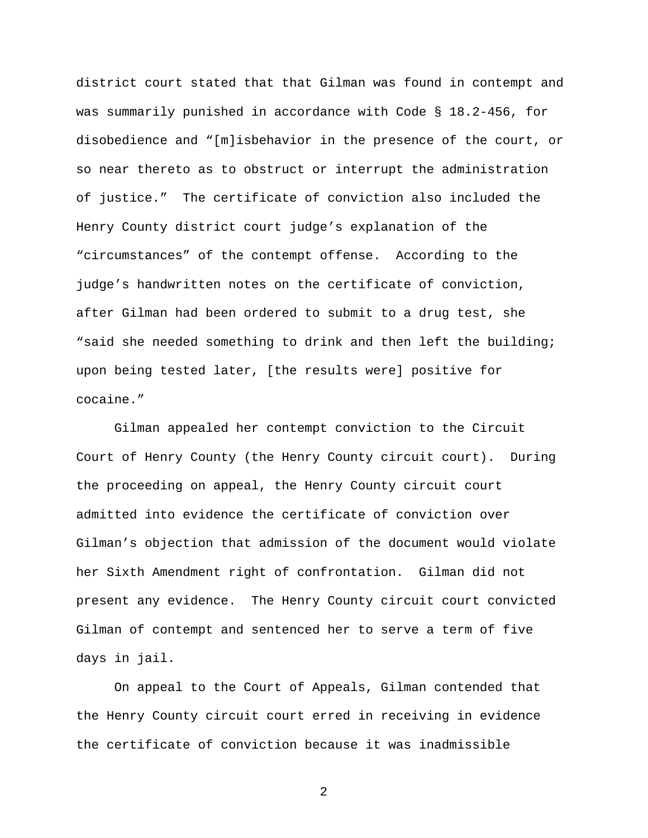district court stated that that Gilman was found in contempt and was summarily punished in accordance with Code § 18.2-456, for disobedience and "[m]isbehavior in the presence of the court, or so near thereto as to obstruct or interrupt the administration of justice." The certificate of conviction also included the Henry County district court judge's explanation of the "circumstances" of the contempt offense. According to the judge's handwritten notes on the certificate of conviction, after Gilman had been ordered to submit to a drug test, she "said she needed something to drink and then left the building; upon being tested later, [the results were] positive for cocaine."

 Gilman appealed her contempt conviction to the Circuit Court of Henry County (the Henry County circuit court). During the proceeding on appeal, the Henry County circuit court admitted into evidence the certificate of conviction over Gilman's objection that admission of the document would violate her Sixth Amendment right of confrontation. Gilman did not present any evidence. The Henry County circuit court convicted Gilman of contempt and sentenced her to serve a term of five days in jail.

 On appeal to the Court of Appeals, Gilman contended that the Henry County circuit court erred in receiving in evidence the certificate of conviction because it was inadmissible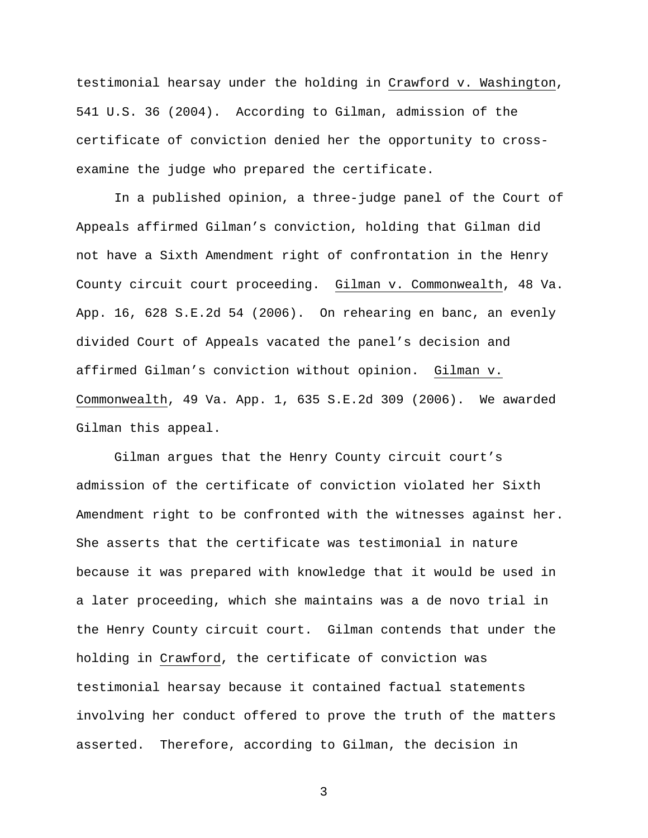testimonial hearsay under the holding in Crawford v. Washington, 541 U.S. 36 (2004). According to Gilman, admission of the certificate of conviction denied her the opportunity to crossexamine the judge who prepared the certificate.

In a published opinion, a three-judge panel of the Court of Appeals affirmed Gilman's conviction, holding that Gilman did not have a Sixth Amendment right of confrontation in the Henry County circuit court proceeding. Gilman v. Commonwealth, 48 Va. App. 16, 628 S.E.2d 54 (2006). On rehearing en banc, an evenly divided Court of Appeals vacated the panel's decision and affirmed Gilman's conviction without opinion. Gilman v. Commonwealth, 49 Va. App. 1, 635 S.E.2d 309 (2006). We awarded Gilman this appeal.

 Gilman argues that the Henry County circuit court's admission of the certificate of conviction violated her Sixth Amendment right to be confronted with the witnesses against her. She asserts that the certificate was testimonial in nature because it was prepared with knowledge that it would be used in a later proceeding, which she maintains was a de novo trial in the Henry County circuit court. Gilman contends that under the holding in Crawford, the certificate of conviction was testimonial hearsay because it contained factual statements involving her conduct offered to prove the truth of the matters asserted. Therefore, according to Gilman, the decision in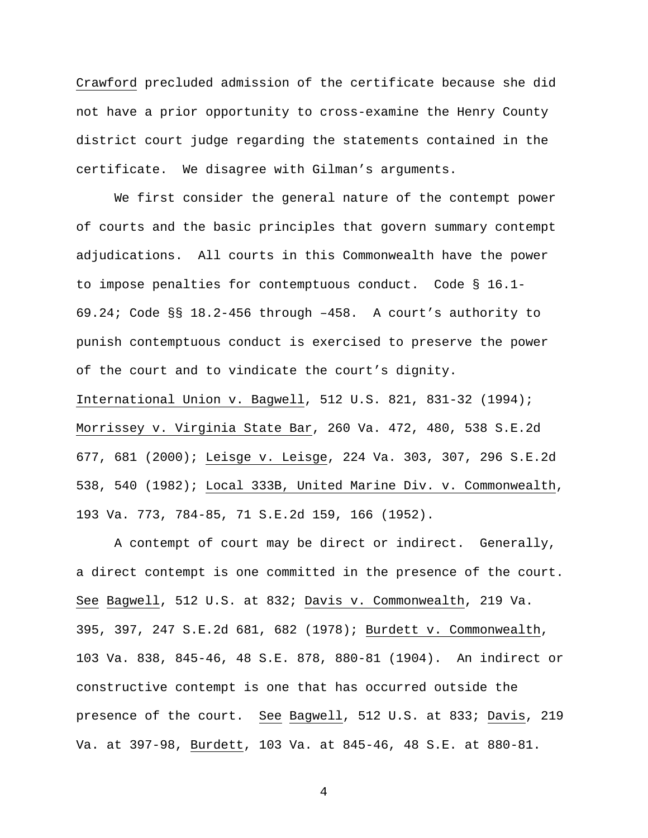Crawford precluded admission of the certificate because she did not have a prior opportunity to cross-examine the Henry County district court judge regarding the statements contained in the certificate. We disagree with Gilman's arguments.

We first consider the general nature of the contempt power of courts and the basic principles that govern summary contempt adjudications. All courts in this Commonwealth have the power to impose penalties for contemptuous conduct. Code § 16.1- 69.24; Code §§ 18.2-456 through –458. A court's authority to punish contemptuous conduct is exercised to preserve the power of the court and to vindicate the court's dignity.

International Union v. Bagwell, 512 U.S. 821, 831-32 (1994); Morrissey v. Virginia State Bar, 260 Va. 472, 480, 538 S.E.2d 677, 681 (2000); Leisge v. Leisge, 224 Va. 303, 307, 296 S.E.2d 538, 540 (1982); Local 333B, United Marine Div. v. Commonwealth, 193 Va. 773, 784-85, 71 S.E.2d 159, 166 (1952).

A contempt of court may be direct or indirect. Generally, a direct contempt is one committed in the presence of the court. See Bagwell, 512 U.S. at 832; Davis v. Commonwealth, 219 Va. 395, 397, 247 S.E.2d 681, 682 (1978); Burdett v. Commonwealth, 103 Va. 838, 845-46, 48 S.E. 878, 880-81 (1904). An indirect or constructive contempt is one that has occurred outside the presence of the court. See Bagwell, 512 U.S. at 833; Davis, 219 Va. at 397-98, Burdett, 103 Va. at 845-46, 48 S.E. at 880-81.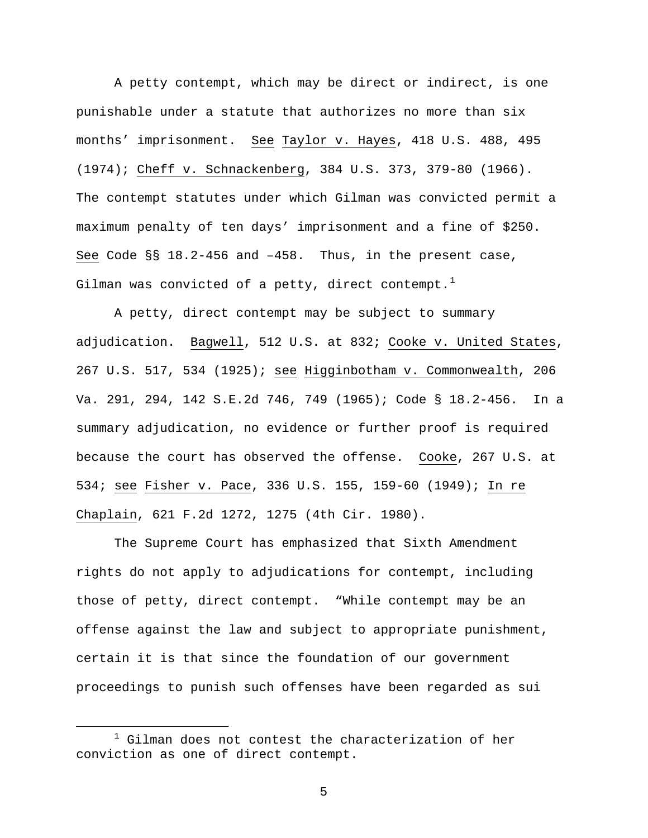A petty contempt, which may be direct or indirect, is one punishable under a statute that authorizes no more than six months' imprisonment. See Taylor v. Hayes, 418 U.S. 488, 495 (1974); Cheff v. Schnackenberg, 384 U.S. 373, 379-80 (1966). The contempt statutes under which Gilman was convicted permit a maximum penalty of ten days' imprisonment and a fine of \$250. See Code §§ 18.2-456 and –458. Thus, in the present case, Gilman was convicted of a petty, direct contempt.<sup>[1](#page-4-0)</sup>

A petty, direct contempt may be subject to summary adjudication. Bagwell, 512 U.S. at 832; Cooke v. United States, 267 U.S. 517, 534 (1925); see Higginbotham v. Commonwealth, 206 Va. 291, 294, 142 S.E.2d 746, 749 (1965); Code § 18.2-456. In a summary adjudication, no evidence or further proof is required because the court has observed the offense. Cooke, 267 U.S. at 534; see Fisher v. Pace, 336 U.S. 155, 159-60 (1949); In re Chaplain, 621 F.2d 1272, 1275 (4th Cir. 1980).

The Supreme Court has emphasized that Sixth Amendment rights do not apply to adjudications for contempt, including those of petty, direct contempt. "While contempt may be an offense against the law and subject to appropriate punishment, certain it is that since the foundation of our government proceedings to punish such offenses have been regarded as sui

<span id="page-4-0"></span> $\overline{\phantom{a}}$  $1$  Gilman does not contest the characterization of her conviction as one of direct contempt.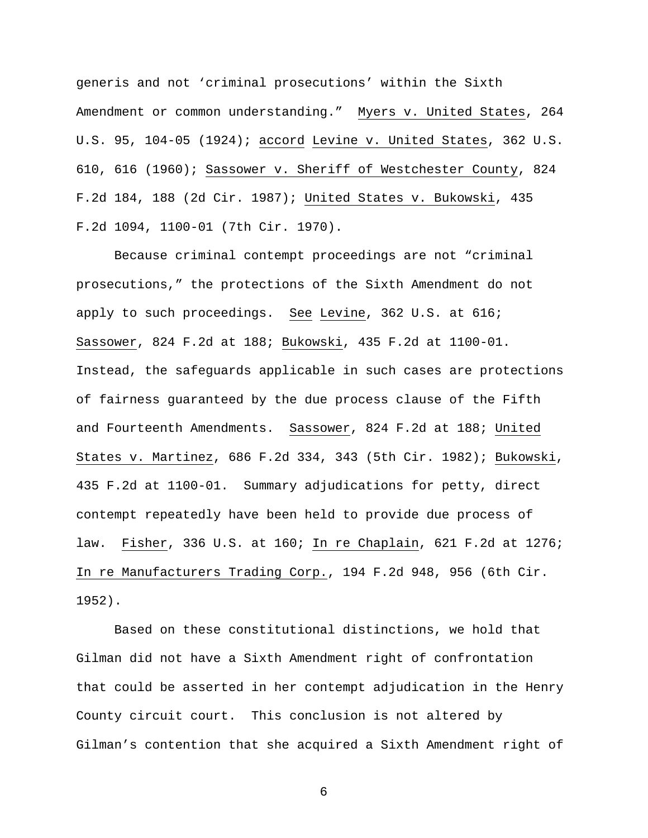generis and not 'criminal prosecutions' within the Sixth Amendment or common understanding." Myers v. United States, 264 U.S. 95, 104-05 (1924); accord Levine v. United States, 362 U.S. 610, 616 (1960); Sassower v. Sheriff of Westchester County, 824 F.2d 184, 188 (2d Cir. 1987); United States v. Bukowski, 435 F.2d 1094, 1100-01 (7th Cir. 1970).

Because criminal contempt proceedings are not "criminal prosecutions," the protections of the Sixth Amendment do not apply to such proceedings. See Levine, 362 U.S. at 616; Sassower, 824 F.2d at 188; Bukowski, 435 F.2d at 1100-01. Instead, the safeguards applicable in such cases are protections of fairness guaranteed by the due process clause of the Fifth and Fourteenth Amendments. Sassower, 824 F.2d at 188; United States v. Martinez, 686 F.2d 334, 343 (5th Cir. 1982); Bukowski, 435 F.2d at 1100-01. Summary adjudications for petty, direct contempt repeatedly have been held to provide due process of law. Fisher, 336 U.S. at 160; In re Chaplain, 621 F.2d at 1276; In re Manufacturers Trading Corp., 194 F.2d 948, 956 (6th Cir. 1952).

Based on these constitutional distinctions, we hold that Gilman did not have a Sixth Amendment right of confrontation that could be asserted in her contempt adjudication in the Henry County circuit court. This conclusion is not altered by Gilman's contention that she acquired a Sixth Amendment right of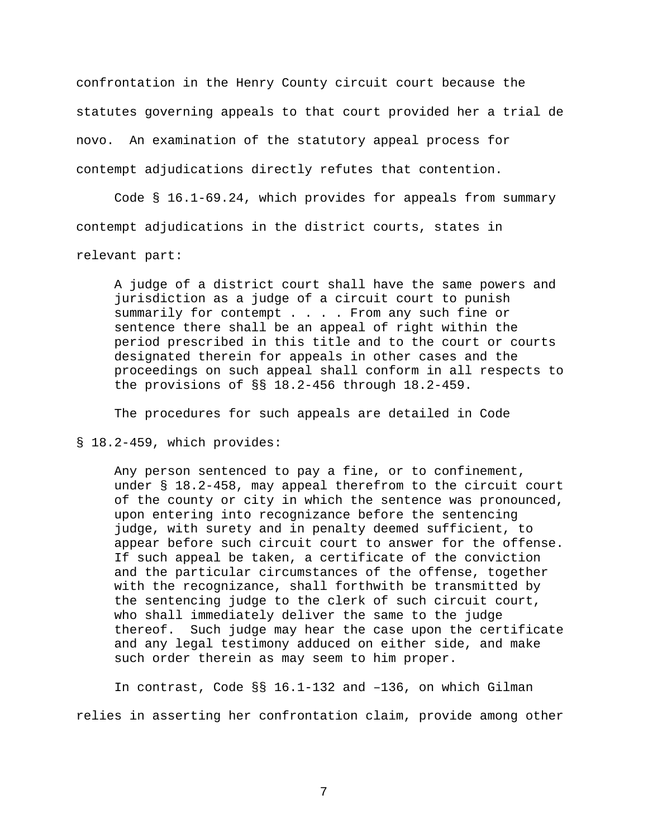confrontation in the Henry County circuit court because the statutes governing appeals to that court provided her a trial de novo. An examination of the statutory appeal process for contempt adjudications directly refutes that contention.

Code § 16.1-69.24, which provides for appeals from summary contempt adjudications in the district courts, states in relevant part:

A judge of a district court shall have the same powers and jurisdiction as a judge of a circuit court to punish summarily for contempt . . . . From any such fine or sentence there shall be an appeal of right within the period prescribed in this title and to the court or courts designated therein for appeals in other cases and the proceedings on such appeal shall conform in all respects to the provisions of §§ 18.2-456 through 18.2-459.

The procedures for such appeals are detailed in Code

§ 18.2-459, which provides:

Any person sentenced to pay a fine, or to confinement, under § 18.2-458, may appeal therefrom to the circuit court of the county or city in which the sentence was pronounced, upon entering into recognizance before the sentencing judge, with surety and in penalty deemed sufficient, to appear before such circuit court to answer for the offense. If such appeal be taken, a certificate of the conviction and the particular circumstances of the offense, together with the recognizance, shall forthwith be transmitted by the sentencing judge to the clerk of such circuit court, who shall immediately deliver the same to the judge thereof. Such judge may hear the case upon the certificate and any legal testimony adduced on either side, and make such order therein as may seem to him proper.

In contrast, Code §§ 16.1-132 and –136, on which Gilman relies in asserting her confrontation claim, provide among other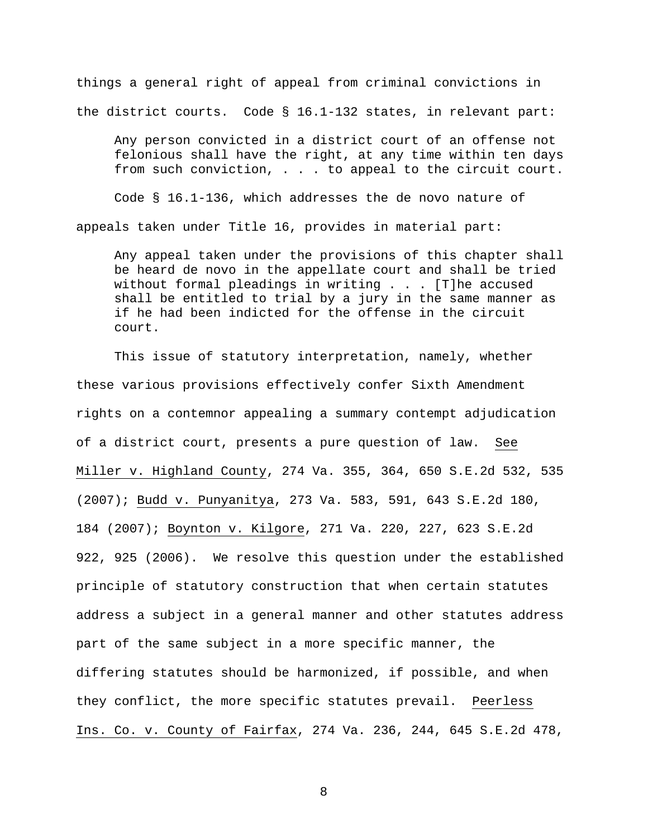things a general right of appeal from criminal convictions in the district courts. Code § 16.1-132 states, in relevant part:

Any person convicted in a district court of an offense not felonious shall have the right, at any time within ten days from such conviction, . . . to appeal to the circuit court.

Code § 16.1-136, which addresses the de novo nature of appeals taken under Title 16, provides in material part:

Any appeal taken under the provisions of this chapter shall be heard de novo in the appellate court and shall be tried without formal pleadings in writing . . . [T]he accused shall be entitled to trial by a jury in the same manner as if he had been indicted for the offense in the circuit court.

This issue of statutory interpretation, namely, whether these various provisions effectively confer Sixth Amendment rights on a contemnor appealing a summary contempt adjudication of a district court, presents a pure question of law. See Miller v. Highland County, 274 Va. 355, 364, 650 S.E.2d 532, 535 (2007); Budd v. Punyanitya, 273 Va. 583, 591, 643 S.E.2d 180, 184 (2007); Boynton v. Kilgore, 271 Va. 220, 227, 623 S.E.2d 922, 925 (2006). We resolve this question under the established principle of statutory construction that when certain statutes address a subject in a general manner and other statutes address part of the same subject in a more specific manner, the differing statutes should be harmonized, if possible, and when they conflict, the more specific statutes prevail. Peerless Ins. Co. v. County of Fairfax, 274 Va. 236, 244, 645 S.E.2d 478,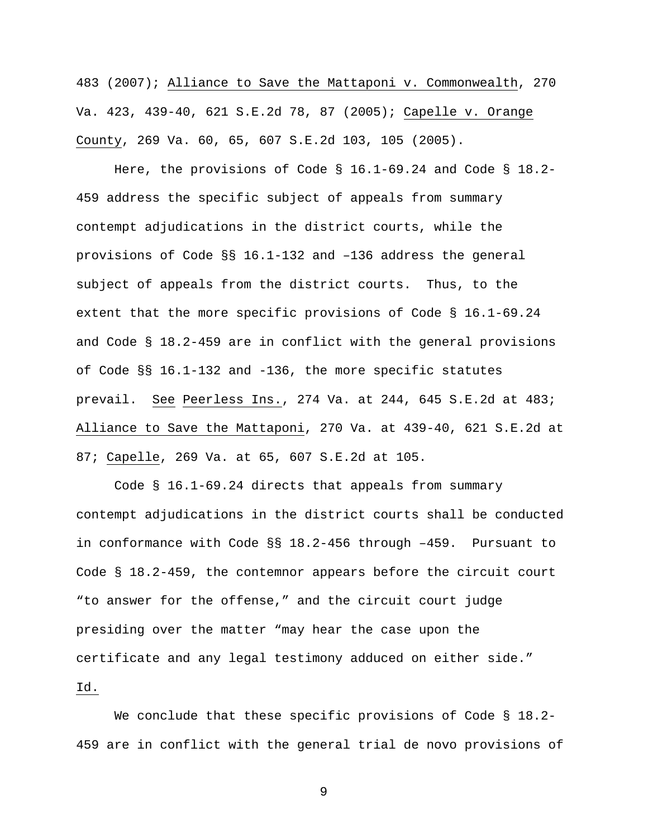483 (2007); Alliance to Save the Mattaponi v. Commonwealth, 270 Va. 423, 439-40, 621 S.E.2d 78, 87 (2005); Capelle v. Orange County, 269 Va. 60, 65, 607 S.E.2d 103, 105 (2005).

Here, the provisions of Code § 16.1-69.24 and Code § 18.2- 459 address the specific subject of appeals from summary contempt adjudications in the district courts, while the provisions of Code §§ 16.1-132 and –136 address the general subject of appeals from the district courts. Thus, to the extent that the more specific provisions of Code § 16.1-69.24 and Code § 18.2-459 are in conflict with the general provisions of Code §§ 16.1-132 and -136, the more specific statutes prevail. See Peerless Ins., 274 Va. at 244, 645 S.E.2d at 483; Alliance to Save the Mattaponi, 270 Va. at 439-40, 621 S.E.2d at 87; Capelle, 269 Va. at 65, 607 S.E.2d at 105.

Code § 16.1-69.24 directs that appeals from summary contempt adjudications in the district courts shall be conducted in conformance with Code §§ 18.2-456 through –459. Pursuant to Code § 18.2-459, the contemnor appears before the circuit court "to answer for the offense," and the circuit court judge presiding over the matter "may hear the case upon the certificate and any legal testimony adduced on either side." Id.

We conclude that these specific provisions of Code § 18.2-459 are in conflict with the general trial de novo provisions of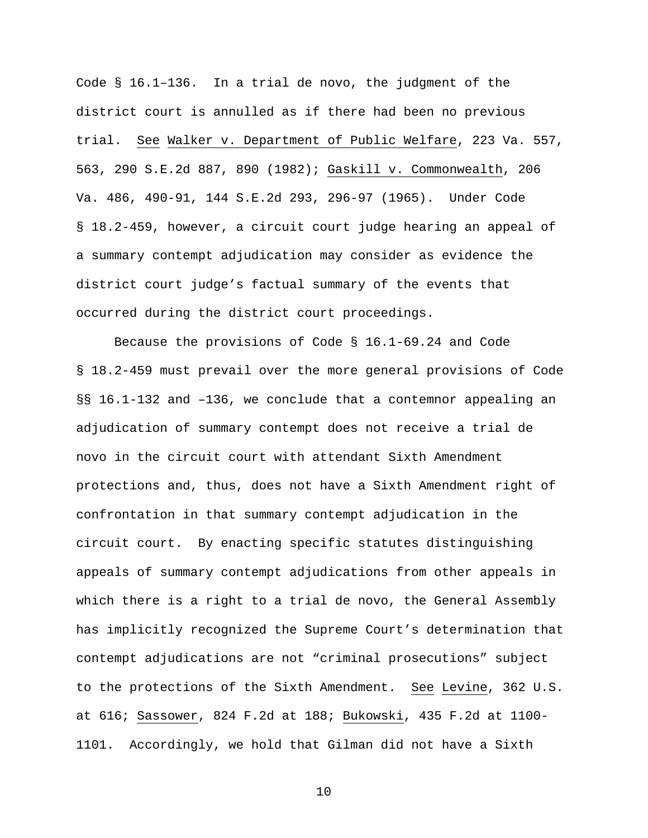Code § 16.1–136. In a trial de novo, the judgment of the district court is annulled as if there had been no previous trial. See Walker v. Department of Public Welfare, 223 Va. 557, 563, 290 S.E.2d 887, 890 (1982); Gaskill v. Commonwealth, 206 Va. 486, 490-91, 144 S.E.2d 293, 296-97 (1965). Under Code § 18.2-459, however, a circuit court judge hearing an appeal of a summary contempt adjudication may consider as evidence the district court judge's factual summary of the events that occurred during the district court proceedings.

Because the provisions of Code § 16.1-69.24 and Code § 18.2-459 must prevail over the more general provisions of Code §§ 16.1-132 and –136, we conclude that a contemnor appealing an adjudication of summary contempt does not receive a trial de novo in the circuit court with attendant Sixth Amendment protections and, thus, does not have a Sixth Amendment right of confrontation in that summary contempt adjudication in the circuit court. By enacting specific statutes distinguishing appeals of summary contempt adjudications from other appeals in which there is a right to a trial de novo, the General Assembly has implicitly recognized the Supreme Court's determination that contempt adjudications are not "criminal prosecutions" subject to the protections of the Sixth Amendment. See Levine, 362 U.S. at 616; Sassower, 824 F.2d at 188; Bukowski, 435 F.2d at 1100- 1101. Accordingly, we hold that Gilman did not have a Sixth